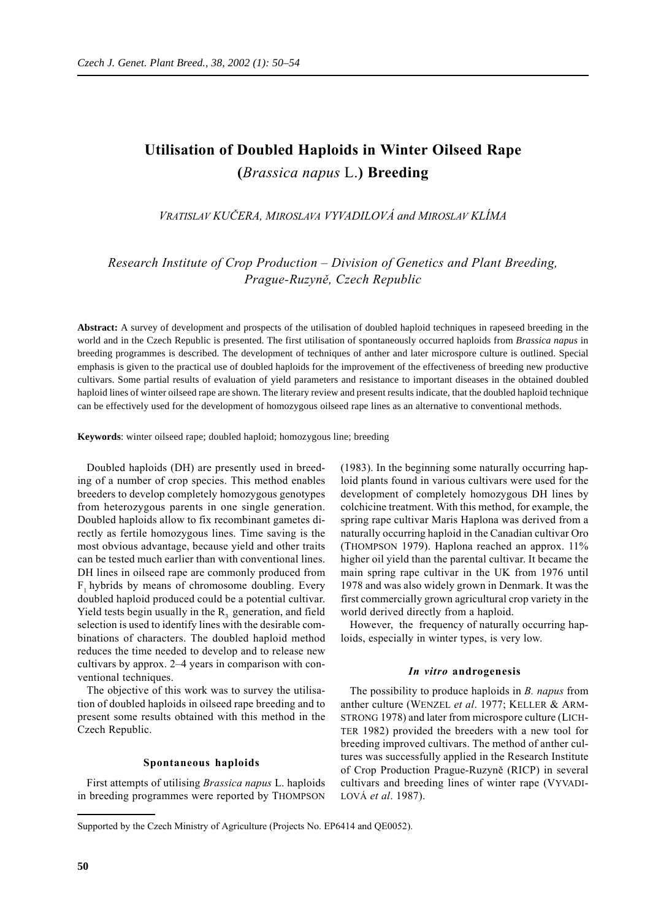# **Utilisation of Doubled Haploids in Winter Oilseed Rape (***Brassica napus* L.**) Breeding**

*VRATISLAV KUČERA, MIROSLAVA VYVADILOVÁ and MIROSLAV KLÍMA*

*Research Institute of Crop Production – Division of Genetics and Plant Breeding, Prague-Ruzyně, Czech Republic*

**Abstract:** A survey of development and prospects of the utilisation of doubled haploid techniques in rapeseed breeding in the world and in the Czech Republic is presented. The first utilisation of spontaneously occurred haploids from *Brassica napus* in breeding programmes is described. The development of techniques of anther and later microspore culture is outlined. Special emphasis is given to the practical use of doubled haploids for the improvement of the effectiveness of breeding new productive cultivars. Some partial results of evaluation of yield parameters and resistance to important diseases in the obtained doubled haploid lines of winter oilseed rape are shown. The literary review and present results indicate, that the doubled haploid technique can be effectively used for the development of homozygous oilseed rape lines as an alternative to conventional methods.

**Keywords**: winter oilseed rape; doubled haploid; homozygous line; breeding

Doubled haploids (DH) are presently used in breeding of a number of crop species. This method enables breeders to develop completely homozygous genotypes from heterozygous parents in one single generation. Doubled haploids allow to fix recombinant gametes directly as fertile homozygous lines. Time saving is the most obvious advantage, because yield and other traits can be tested much earlier than with conventional lines. DH lines in oilseed rape are commonly produced from F, hybrids by means of chromosome doubling. Every doubled haploid produced could be a potential cultivar. Yield tests begin usually in the R<sub>3</sub> generation, and field selection is used to identify lines with the desirable combinations of characters. The doubled haploid method reduces the time needed to develop and to release new cultivars by approx. 2–4 years in comparison with conventional techniques.

The objective of this work was to survey the utilisation of doubled haploids in oilseed rape breeding and to present some results obtained with this method in the Czech Republic.

# **Spontaneous haploids**

First attempts of utilising *Brassica napus* L. haploids in breeding programmes were reported by THOMPSON

(1983). In the beginning some naturally occurring haploid plants found in various cultivars were used for the development of completely homozygous DH lines by colchicine treatment. With this method, for example, the spring rape cultivar Maris Haplona was derived from a naturally occurring haploid in the Canadian cultivar Oro (THOMPSON 1979). Haplona reached an approx. 11% higher oil yield than the parental cultivar. It became the main spring rape cultivar in the UK from 1976 until 1978 and was also widely grown in Denmark. It was the first commercially grown agricultural crop variety in the world derived directly from a haploid.

However, the frequency of naturally occurring haploids, especially in winter types, is very low.

### *In vitro* **androgenesis**

The possibility to produce haploids in *B. napus* from anther culture (WENZEL *et al*. 1977; KELLER & ARM-STRONG 1978) and later from microspore culture (LICH-TER 1982) provided the breeders with a new tool for breeding improved cultivars. The method of anther cultures was successfully applied in the Research Institute of Crop Production Prague-Ruzyně (RICP) in several cultivars and breeding lines of winter rape (VYVADI-LOVÁ *et al*. 1987).

Supported by the Czech Ministry of Agriculture (Projects No. EP6414 and QE0052).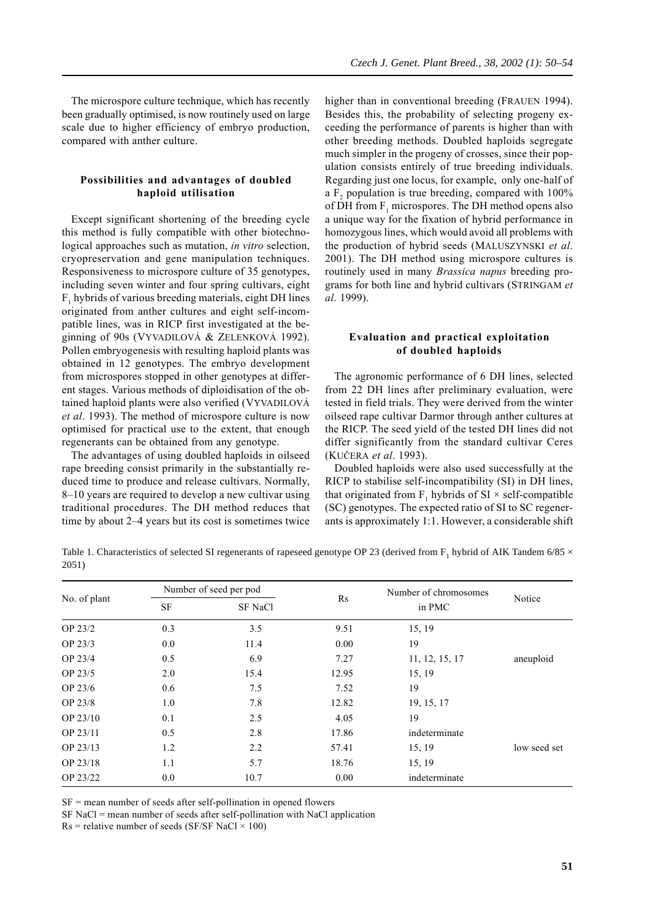The microspore culture technique, which has recently been gradually optimised, is now routinely used on large scale due to higher efficiency of embryo production, compared with anther culture.

# **Possibilities and advantages of doubled haploid utilisation**

Except significant shortening of the breeding cycle this method is fully compatible with other biotechnological approaches such as mutation, *in vitro* selection, cryopreservation and gene manipulation techniques. Responsiveness to microspore culture of 35 genotypes, including seven winter and four spring cultivars, eight  $F_1$  hybrids of various breeding materials, eight DH lines originated from anther cultures and eight self-incompatible lines, was in RICP first investigated at the beginning of 90s (VYVADILOVÁ & ZELENKOVÁ 1992). Pollen embryogenesis with resulting haploid plants was obtained in 12 genotypes. The embryo development from microspores stopped in other genotypes at different stages. Various methods of diploidisation of the obtained haploid plants were also verified (VYVADILOVÁ *et al*. 1993). The method of microspore culture is now optimised for practical use to the extent, that enough regenerants can be obtained from any genotype.

The advantages of using doubled haploids in oilseed rape breeding consist primarily in the substantially reduced time to produce and release cultivars. Normally, 8–10 years are required to develop a new cultivar using traditional procedures. The DH method reduces that time by about 2–4 years but its cost is sometimes twice higher than in conventional breeding (FRAUEN 1994). Besides this, the probability of selecting progeny exceeding the performance of parents is higher than with other breeding methods. Doubled haploids segregate much simpler in the progeny of crosses, since their population consists entirely of true breeding individuals. Regarding just one locus, for example, only one-half of a  $F<sub>2</sub>$  population is true breeding, compared with  $100\%$ of DH from  $F_1$  microspores. The DH method opens also a unique way for the fixation of hybrid performance in homozygous lines, which would avoid all problems with the production of hybrid seeds (MALUSZYNSKI *et al*. 2001). The DH method using microspore cultures is routinely used in many *Brassica napus* breeding programs for both line and hybrid cultivars (STRINGAM *et al*. 1999).

# **Evaluation and practical exploitation of doubled haploids**

The agronomic performance of 6 DH lines, selected from 22 DH lines after preliminary evaluation, were tested in field trials. They were derived from the winter oilseed rape cultivar Darmor through anther cultures at the RICP. The seed yield of the tested DH lines did not differ significantly from the standard cultivar Ceres (KUČERA *et al*. 1993).

Doubled haploids were also used successfully at the RICP to stabilise self-incompatibility (SI) in DH lines, that originated from  $F_1$  hybrids of SI  $\times$  self-compatible (SC) genotypes. The expected ratio of SI to SC regenerants is approximately 1:1. However, a considerable shift

Table 1. Characteristics of selected SI regenerants of rapeseed genotype OP 23 (derived from  $F_1$  hybrid of AIK Tandem 6/85  $\times$ 2051)

| No. of plant | Number of seed per pod |                |          | Number of chromosomes |              |
|--------------|------------------------|----------------|----------|-----------------------|--------------|
|              | <b>SF</b>              | <b>SF NaCl</b> | $\rm Rs$ | in PMC                | Notice       |
| OP 23/2      | 0.3                    | 3.5            | 9.51     | 15, 19                |              |
| OP 23/3      | $0.0\,$                | 11.4           | 0.00     | 19                    |              |
| OP 23/4      | 0.5                    | 6.9            | 7.27     | 11, 12, 15, 17        | aneuploid    |
| OP 23/5      | 2.0                    | 15.4           | 12.95    | 15, 19                |              |
| OP 23/6      | 0.6                    | 7.5            | 7.52     | 19                    |              |
| OP 23/8      | 1.0                    | 7.8            | 12.82    | 19, 15, 17            |              |
| OP 23/10     | 0.1                    | 2.5            | 4.05     | 19                    |              |
| OP 23/11     | 0.5                    | 2.8            | 17.86    | indeterminate         |              |
| OP 23/13     | 1.2                    | 2.2            | 57.41    | 15, 19                | low seed set |
| OP 23/18     | 1.1                    | 5.7            | 18.76    | 15, 19                |              |
| OP 23/22     | $0.0\,$                | 10.7           | 0.00     | indeterminate         |              |

 $SF = mean$  number of seeds after self-pollination in opened flowers

SF NaCl = mean number of seeds after self-pollination with NaCl application

 $Rs =$  relative number of seeds (SF/SF NaCl  $\times$  100)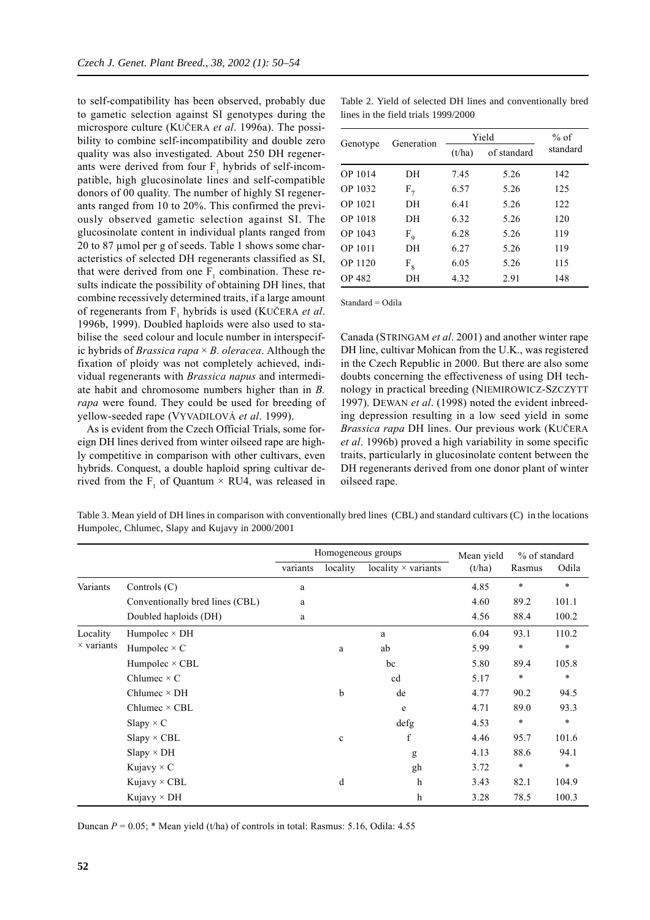to self-compatibility has been observed, probably due to gametic selection against SI genotypes during the microspore culture (KUČERA *et al*. 1996a). The possibility to combine self-incompatibility and double zero quality was also investigated. About 250 DH regenerants were derived from four  $F_1$  hybrids of self-incompatible, high glucosinolate lines and self-compatible donors of 00 quality. The number of highly SI regenerants ranged from 10 to 20%. This confirmed the previously observed gametic selection against SI. The glucosinolate content in individual plants ranged from 20 to 87 µmol per g of seeds. Table 1 shows some characteristics of selected DH regenerants classified as SI, that were derived from one  $F<sub>1</sub>$  combination. These results indicate the possibility of obtaining DH lines, that combine recessively determined traits, if a large amount of regenerants from F1 hybrids is used (KUČERA *et al*. 1996b, 1999). Doubled haploids were also used to stabilise the seed colour and locule number in interspecific hybrids of *Brassica rapa* × *B. oleracea*. Although the fixation of ploidy was not completely achieved, individual regenerants with *Brassica napus* and intermediate habit and chromosome numbers higher than in *B. rapa* were found. They could be used for breeding of yellow-seeded rape (VYVADILOVÁ *et al*. 1999).

As is evident from the Czech Official Trials, some foreign DH lines derived from winter oilseed rape are highly competitive in comparison with other cultivars, even hybrids. Conquest, a double haploid spring cultivar derived from the  $F_1$  of Quantum  $\times$  RU4, was released in

| Table 2. Yield of selected DH lines and conventionally bred |  |
|-------------------------------------------------------------|--|
| lines in the field trials 1999/2000                         |  |

|                | Generation |        | Yield       |          |  |
|----------------|------------|--------|-------------|----------|--|
| Genotype       |            | (t/ha) | of standard | standard |  |
| OP 1014        | DН         | 7.45   | 5.26        | 142      |  |
| OP 1032        | $F_7$      | 6.57   | 5.26        | 125      |  |
| OP 1021        | DH         | 6.41   | 5.26        | 122      |  |
| <b>OP 1018</b> | DH         | 6.32   | 5.26        | 120      |  |
| OP 1043        | $F_{9}$    | 6.28   | 5.26        | 119      |  |
| <b>OP 1011</b> | DH         | 6.27   | 5.26        | 119      |  |
| OP 1120        | $F_{8}$    | 6.05   | 5.26        | 115      |  |
| <b>OP 482</b>  | DН         | 4.32   | 2.91        | 148      |  |

Standard = Odila

Canada (STRINGAM *et al*. 2001) and another winter rape DH line, cultivar Mohican from the U.K., was registered in the Czech Republic in 2000. But there are also some doubts concerning the effectiveness of using DH technology in practical breeding (NIEMIROWICZ-SZCZYTT 1997). DEWAN *et al*. (1998) noted the evident inbreeding depression resulting in a low seed yield in some *Brassica rapa* DH lines. Our previous work (KUČERA *et al*. 1996b) proved a high variability in some specific traits, particularly in glucosinolate content between the DH regenerants derived from one donor plant of winter oilseed rape.

Table 3. Mean yield of DH lines in comparison with conventionally bred lines (CBL) and standard cultivars (C) in the locations Humpolec, Chlumec, Slapy and Kujavy in 2000/2001

|                   |                                 | Homogeneous groups |             |                            | Mean yield | % of standard |        |
|-------------------|---------------------------------|--------------------|-------------|----------------------------|------------|---------------|--------|
|                   |                                 | variants           | locality    | locality $\times$ variants | (t/ha)     | Rasmus        | Odila  |
| Variants          | Controls $(C)$                  | a                  |             |                            | 4.85       | $\ast$        | $\ast$ |
|                   | Conventionally bred lines (CBL) | a                  |             |                            | 4.60       | 89.2          | 101.1  |
|                   | Doubled haploids (DH)           | a                  |             |                            | 4.56       | 88.4          | 100.2  |
| Locality          | Humpolec $\times$ DH            |                    |             | a                          | 6.04       | 93.1          | 110.2  |
| $\times$ variants | Humpolec $\times$ C             |                    | a           | ab                         | 5.99       | $\ast$        | $\ast$ |
|                   | Humpolec $\times$ CBL           |                    |             | bc                         | 5.80       | 89.4          | 105.8  |
|                   | Chlumec $\times$ C              |                    |             | cd                         | 5.17       | $\ast$        | $\ast$ |
|                   | Chlumec $\times$ DH             |                    | $\mathbf b$ | de                         | 4.77       | 90.2          | 94.5   |
|                   | Chlumec $\times$ CBL            |                    |             | e                          | 4.71       | 89.0          | 93.3   |
|                   | $Slapy \times C$                |                    |             | defg                       | 4.53       | $\ast$        | $\ast$ |
|                   | $Slapy \times CBL$              |                    | $\mathbf c$ | f                          | 4.46       | 95.7          | 101.6  |
|                   | $Slapy \times DH$               |                    |             | g                          | 4.13       | 88.6          | 94.1   |
|                   | Kujavy $\times$ C               |                    |             | gh                         | 3.72       | $\ast$        | $\ast$ |
|                   | Kujavy $\times$ CBL             |                    | d           | h                          | 3.43       | 82.1          | 104.9  |
|                   | Kujavy $\times$ DH              |                    |             | h                          | 3.28       | 78.5          | 100.3  |

Duncan  $P = 0.05$ ; \* Mean yield (t/ha) of controls in total: Rasmus: 5.16, Odila: 4.55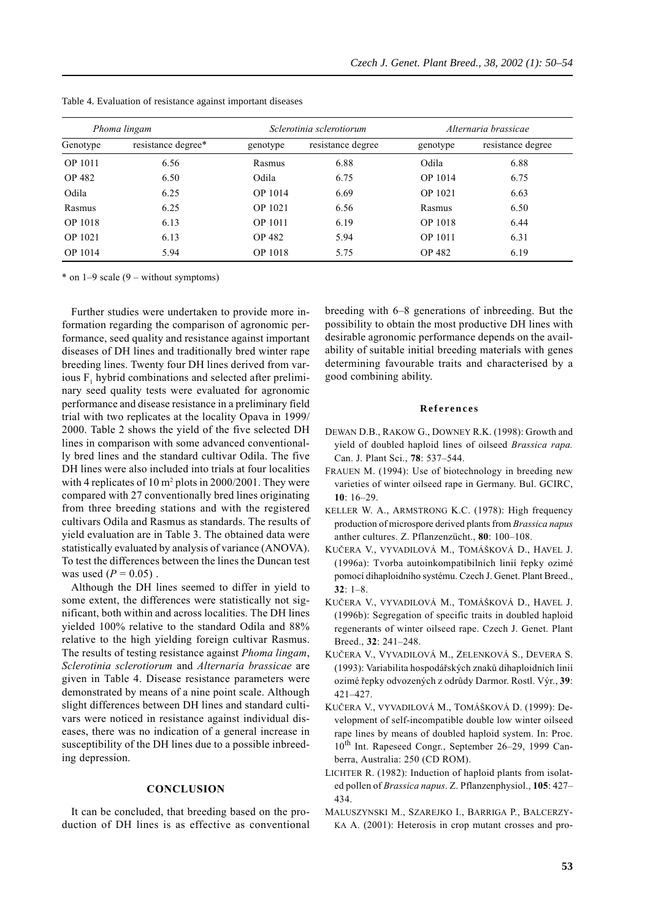| Phoma lingam   |                    |                | Sclerotinia sclerotiorum | Alternaria brassicae |                   |  |
|----------------|--------------------|----------------|--------------------------|----------------------|-------------------|--|
| Genotype       | resistance degree* | genotype       | resistance degree        |                      | resistance degree |  |
| OP 1011        | 6.56               | Rasmus         | 6.88                     | Odila                | 6.88              |  |
| <b>OP 482</b>  | 6.50               | Odila          | 6.75                     | OP 1014              | 6.75              |  |
| Odila          | 6.25               | OP 1014        | 6.69                     | OP 1021              | 6.63              |  |
| Rasmus         | 6.25               | OP 1021        | 6.56                     | Rasmus               | 6.50              |  |
| <b>OP 1018</b> | 6.13               | OP 1011        | 6.19                     | <b>OP 1018</b>       | 6.44              |  |
| OP 1021        | 6.13               | <b>OP 482</b>  | 5.94                     | <b>OP 1011</b>       | 6.31              |  |
| OP 1014        | 5.94               | <b>OP 1018</b> | 5.75                     | <b>OP 482</b>        | 6.19              |  |

| Table 4. Evaluation of resistance against important diseases |  |  |  |
|--------------------------------------------------------------|--|--|--|
|                                                              |  |  |  |

\* on  $1-9$  scale  $(9 - \text{without symptoms})$ 

Further studies were undertaken to provide more information regarding the comparison of agronomic performance, seed quality and resistance against important diseases of DH lines and traditionally bred winter rape breeding lines. Twenty four DH lines derived from various  $F_1$  hybrid combinations and selected after preliminary seed quality tests were evaluated for agronomic performance and disease resistance in a preliminary field trial with two replicates at the locality Opava in 1999/ 2000. Table 2 shows the yield of the five selected DH lines in comparison with some advanced conventionally bred lines and the standard cultivar Odila. The five DH lines were also included into trials at four localities with 4 replicates of 10 m<sup>2</sup> plots in 2000/2001. They were compared with 27 conventionally bred lines originating from three breeding stations and with the registered cultivars Odila and Rasmus as standards. The results of yield evaluation are in Table 3. The obtained data were statistically evaluated by analysis of variance (ANOVA). To test the differences between the lines the Duncan test was used  $(P = 0.05)$ .

Although the DH lines seemed to differ in yield to some extent, the differences were statistically not significant, both within and across localities. The DH lines yielded 100% relative to the standard Odila and 88% relative to the high yielding foreign cultivar Rasmus. The results of testing resistance against *Phoma lingam*, *Sclerotinia sclerotiorum* and *Alternaria brassicae* are given in Table 4. Disease resistance parameters were demonstrated by means of a nine point scale. Although slight differences between DH lines and standard cultivars were noticed in resistance against individual diseases, there was no indication of a general increase in susceptibility of the DH lines due to a possible inbreeding depression.

## **CONCLUSION**

It can be concluded, that breeding based on the production of DH lines is as effective as conventional breeding with 6–8 generations of inbreeding. But the possibility to obtain the most productive DH lines with desirable agronomic performance depends on the availability of suitable initial breeding materials with genes determining favourable traits and characterised by a good combining ability.

#### **References**

- DEWAN D.B., RAKOW G., DOWNEY R.K. (1998): Growth and yield of doubled haploid lines of oilseed *Brassica rapa.* Can. J. Plant Sci., **78**: 537–544.
- FRAUEN M. (1994): Use of biotechnology in breeding new varieties of winter oilseed rape in Germany. Bul. GCIRC, **10**: 16–29.
- KELLER W. A., ARMSTRONG K.C. (1978): High frequency production of microspore derived plants from *Brassica napus* anther cultures. Z. Pflanzenzücht., **80**: 100–108.
- KUČERA V., VYVADILOVÁ M., TOMÁŠKOVÁ D., HAVEL J. (1996a): Tvorba autoinkompatibilních linií řepky ozimé pomocí dihaploidního systému. Czech J. Genet. Plant Breed., **32**: 1–8.
- KUČERA V., VYVADILOVÁ M., TOMÁŠKOVÁ D., HAVEL J. (1996b): Segregation of specific traits in doubled haploid regenerants of winter oilseed rape. Czech J. Genet. Plant Breed., **32**: 241–248.
- KUČERA V., VYVADILOVÁ M., ZELENKOVÁ S., DEVERA S. (1993): Variabilita hospodářských znaků dihaploidních linií ozimé řepky odvozených z odrůdy Darmor. Rostl. Výr., **39**: 421–427.
- KUČERA V., VYVADILOVÁ M., TOMÁŠKOVÁ D. (1999): Development of self-incompatible double low winter oilseed rape lines by means of doubled haploid system. In: Proc. 10<sup>th</sup> Int. Rapeseed Congr., September 26–29, 1999 Canberra, Australia: 250 (CD ROM).
- LICHTER R. (1982): Induction of haploid plants from isolated pollen of *Brassica napus*. Z. Pflanzenphysiol., **105**: 427– 434.
- MALUSZYNSKI M., SZAREJKO I., BARRIGA P., BALCERZY-KA A. (2001): Heterosis in crop mutant crosses and pro-